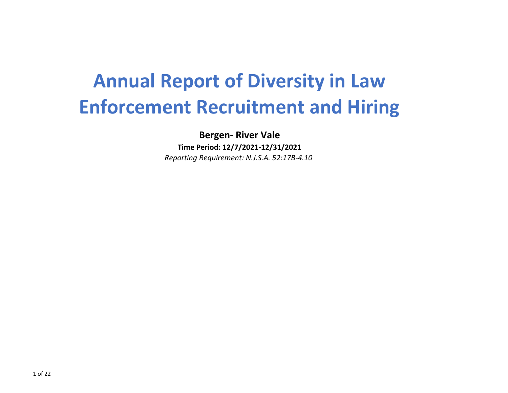# **Annual Report of Diversity in Law Enforcement Recruitment and Hiring**

**Bergen- River Vale**

**Time Period: 12/7/2021-12/31/2021** *Reporting Requirement: N.J.S.A. 52:17B-4.10*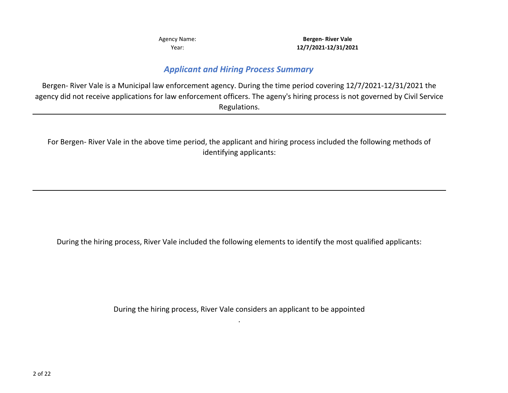Year:

**12/7/2021-12/31/2021** Agency Name: **Bergen- River Vale** 

#### *Applicant and Hiring Process Summary*

Bergen- River Vale is a Municipal law enforcement agency. During the time period covering 12/7/2021-12/31/2021 the agency did not receive applications for law enforcement officers. The ageny's hiring process is not governed by Civil Service Regulations.

For Bergen- River Vale in the above time period, the applicant and hiring process included the following methods of identifying applicants:

During the hiring process, River Vale included the following elements to identify the most qualified applicants:

During the hiring process, River Vale considers an applicant to be appointed .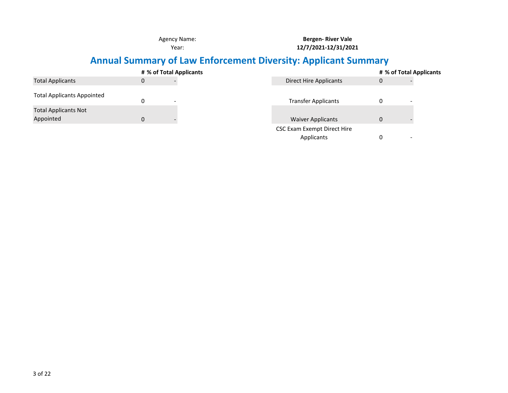**Bergen- River Vale 12/7/2021-12/31/2021**

### **Annual Summary of Law Enforcement Diversity: Applicant Summary**

|                                   |   | # % of Total Applicants |                               |              |  |  |  |
|-----------------------------------|---|-------------------------|-------------------------------|--------------|--|--|--|
| <b>Total Applicants</b>           | 0 |                         | <b>Direct Hire Applicants</b> | $\mathbf{0}$ |  |  |  |
| <b>Total Applicants Appointed</b> |   |                         |                               |              |  |  |  |
|                                   | 0 |                         | <b>Transfer Applicants</b>    | 0            |  |  |  |
| <b>Total Applicants Not</b>       |   |                         |                               |              |  |  |  |
| Appointed                         | 0 |                         | <b>Waiver Applicants</b>      | $\mathbf{0}$ |  |  |  |
|                                   |   |                         | CSC Exam Exempt Direct Hire   |              |  |  |  |
|                                   |   |                         | Applicants                    | 0<br>-       |  |  |  |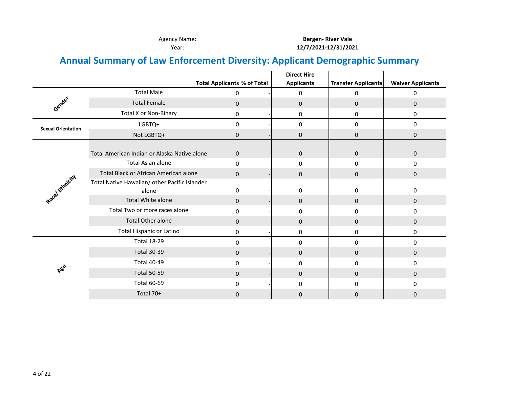## **Annual Summary of Law Enforcement Diversity: Applicant Demographic Summary**

|                           |                                               |                                    | <b>Direct Hire</b> |                            |                          |
|---------------------------|-----------------------------------------------|------------------------------------|--------------------|----------------------------|--------------------------|
|                           |                                               | <b>Total Applicants % of Total</b> | <b>Applicants</b>  | <b>Transfer Applicants</b> | <b>Waiver Applicants</b> |
|                           | <b>Total Male</b>                             | 0                                  | 0                  | 0                          | 0                        |
| Gender                    | <b>Total Female</b>                           | 0                                  | 0                  | $\pmb{0}$                  | $\mathbf{0}$             |
|                           | <b>Total X or Non-Binary</b>                  | 0                                  | 0                  | 0                          | 0                        |
| <b>Sexual Orientation</b> | LGBTQ+                                        | 0                                  | 0                  | 0                          | 0                        |
|                           | Not LGBTQ+                                    | 0                                  | $\mathbf 0$        | 0                          | $\mathbf{0}$             |
|                           |                                               |                                    |                    |                            |                          |
|                           | Total American Indian or Alaska Native alone  | $\mathbf{0}$                       | 0                  | 0                          | 0                        |
|                           | <b>Total Asian alone</b>                      | 0                                  | 0                  | 0                          | 0                        |
|                           | Total Black or African American alone         | $\mathbf{0}$                       | 0                  | 0                          | $\mathbf{0}$             |
|                           | Total Native Hawaiian/ other Pacific Islander |                                    |                    |                            |                          |
|                           | alone                                         | 0                                  | 0                  | 0                          | 0                        |
| Racel Ethnicity           | Total White alone                             | 0                                  | 0                  | 0                          | 0                        |
|                           | Total Two or more races alone                 | 0                                  | 0                  | 0                          | 0                        |
|                           | <b>Total Other alone</b>                      | $\Omega$                           | $\mathbf 0$        | 0                          | $\mathbf{0}$             |
|                           | <b>Total Hispanic or Latino</b>               | 0                                  | 0                  | 0                          | 0                        |
|                           | <b>Total 18-29</b>                            | 0                                  | 0                  | 0                          | 0                        |
|                           | <b>Total 30-39</b>                            | $\mathbf{0}$                       | 0                  | 0                          | $\mathbf{0}$             |
|                           | <b>Total 40-49</b>                            | 0                                  | 0                  | 0                          | 0                        |
| ABC                       | <b>Total 50-59</b>                            | $\Omega$                           | 0                  | $\mathbf{0}$               | $\mathbf{0}$             |
|                           | <b>Total 60-69</b>                            | 0                                  | 0                  | 0                          | 0                        |
|                           | Total 70+                                     | 0                                  | $\mathbf{0}$       | $\mathbf{0}$               | 0                        |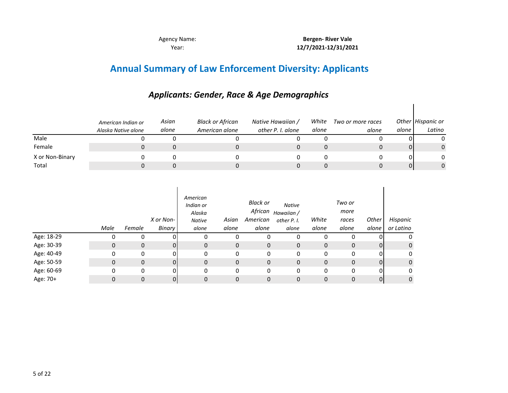**Bergen- River Vale 12/7/2021-12/31/2021**

### **Annual Summary of Law Enforcement Diversity: Applicants**

#### *Asian alone White Two or more races alone Other Hispanic or alone Latino* Male 0 0 0 0 Female 0 0 0 0 X or Non-Binary 0 0 0 0 Total 0 0 0 0 0 *American Indian or Alaska Native alone Black or African American alone Native Hawaiian / other P. I. alone alone* 0 0 0 0 0 0 0 0 0 0 0 0 0 0 0

|            | Male | Female       | X or Non-<br>Binary | American<br>Indian or<br>Alaska<br><b>Native</b><br>alone | Asian<br>alone | <b>Black or</b><br>African<br>American<br>alone | <b>Native</b><br>Hawaiian /<br>other P. I.<br>alone | White<br>alone | Two or<br>more<br>races<br>alone | Other<br>alone | Hispanic<br>or Latino |
|------------|------|--------------|---------------------|-----------------------------------------------------------|----------------|-------------------------------------------------|-----------------------------------------------------|----------------|----------------------------------|----------------|-----------------------|
| Age: 18-29 | 0    | 0            |                     | 0                                                         | 0              | 0                                               | 0                                                   | 0              | 0                                | 0              |                       |
| Age: 30-39 | 0    | $\mathbf{0}$ | ΩI                  | 0                                                         | 0              | $\mathbf 0$                                     | 0                                                   | $\mathbf{0}$   | 0                                | $\overline{0}$ | 0                     |
| Age: 40-49 | 0    | 0            | ΩI                  | 0                                                         | 0              | 0                                               | 0                                                   | 0              | 0                                | $\Omega$       | 0                     |
| Age: 50-59 | 0    | $\mathbf{0}$ | $\Omega$            | 0                                                         | $\mathbf 0$    | 0                                               | $\mathbf 0$                                         | $\mathbf{0}$   | 0                                | $\overline{0}$ | 0                     |
| Age: 60-69 | 0    | 0            | 01                  | 0                                                         | 0              | 0                                               | 0                                                   | 0              | 0                                | 0              | 0                     |
| Age: 70+   | 0    | 0            | 01                  | 0                                                         | 0              | 0                                               | 0                                                   | $\mathbf{0}$   | 0                                | 0              | 0                     |

#### *Applicants: Gender, Race & Age Demographics*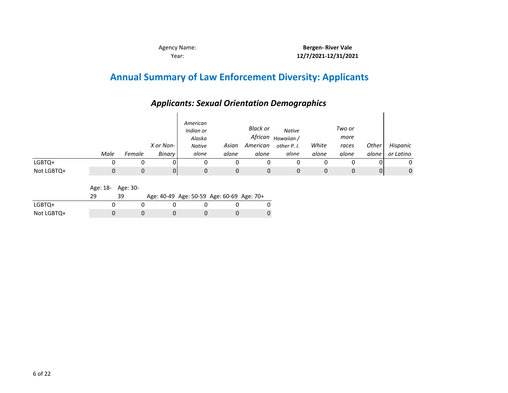## **Annual Summary of Law Enforcement Diversity: Applicants**

### *Applicants: Sexual Orientation Demographics*

|            | Male | Female | X or Non-<br>Binary | American<br>Indian or<br>Alaska<br><b>Native</b><br>alone | Asian<br>alone | Black or<br>African<br>American<br>alone | <b>Native</b><br>Hawaiian /<br>other P. I.<br>alone | White<br>alone | Two or<br>more<br>races<br>alone | Other<br>alone | Hispanic<br>or Latino |
|------------|------|--------|---------------------|-----------------------------------------------------------|----------------|------------------------------------------|-----------------------------------------------------|----------------|----------------------------------|----------------|-----------------------|
| LGBTQ+     | 0    | 0      | 01                  |                                                           | 0              | 0                                        | 0                                                   |                |                                  |                | 0                     |
| Not LGBTQ+ | 0    | 0      | 0                   | 0                                                         | 0              | 0                                        | 0                                                   | 0              | $\mathbf 0$                      | 0              | $\mathbf{0}$          |

Age: 18- Age: 30-

|            |  |  | Age: 40-49 Age: 50-59 Age: 60-69 Age: 70+ |  |
|------------|--|--|-------------------------------------------|--|
| LGBTQ+     |  |  |                                           |  |
| Not LGBTQ+ |  |  |                                           |  |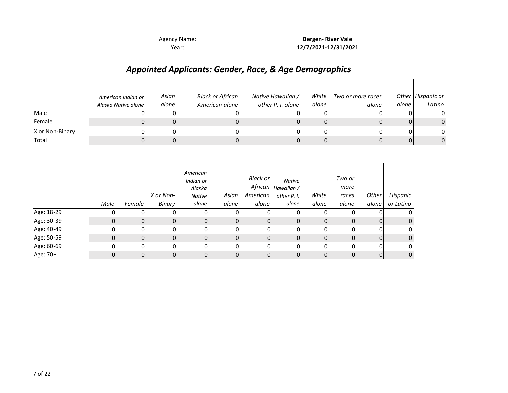Year:

**12/7/2021-12/31/2021** Agency Name: **Bergen- River Vale** 

 $\overline{\phantom{a}}$ 

### *Appointed Applicants: Gender, Race, & Age Demographics*

|                 | American Indian or<br>Alaska Native alone | Asian<br>alone | Black or African<br>American alone | Native Hawaiian /<br>other P. I. alone | White<br>alone | Two or more races<br>alone | alone    | Other Hispanic or<br>Latino |
|-----------------|-------------------------------------------|----------------|------------------------------------|----------------------------------------|----------------|----------------------------|----------|-----------------------------|
| Male            |                                           |                |                                    |                                        |                |                            |          |                             |
| Female          |                                           |                |                                    |                                        |                |                            | $\Omega$ | 0                           |
| X or Non-Binary |                                           |                |                                    |                                        |                |                            | ΩI       | 0                           |
| Total           |                                           |                |                                    |                                        |                |                            | 01       | 0                           |

|            | Male | Female       | X or Non-<br>Binary | American<br>Indian or<br>Alaska<br><b>Native</b><br>alone | Asian<br>alone | Black or<br>African<br>American<br>alone | <b>Native</b><br>Hawaiian /<br>other P. I.<br>alone | White<br>alone | Two or<br>more<br>races<br>alone | Other<br>alone | Hispanic<br>or Latino |
|------------|------|--------------|---------------------|-----------------------------------------------------------|----------------|------------------------------------------|-----------------------------------------------------|----------------|----------------------------------|----------------|-----------------------|
| Age: 18-29 | 0    | 0            |                     | 0                                                         | 0              | 0                                        | 0                                                   |                |                                  |                | 0                     |
| Age: 30-39 | 0    | $\mathbf 0$  | 01                  | $\mathbf{0}$                                              | 0              | $\mathbf 0$                              | 0                                                   | 0              | $\mathbf{0}$                     | $\overline{0}$ | $\mathbf{0}$          |
| Age: 40-49 | 0    | 0            | ΩI                  | 0                                                         | 0              | 0                                        | 0                                                   | 0              | 0                                | 0              | 0                     |
| Age: 50-59 | 0    | $\mathbf{0}$ | ΩI                  | $\mathbf{0}$                                              | 0              | $\mathbf 0$                              | 0                                                   | 0              | $\mathbf 0$                      | $\overline{0}$ | $\mathbf 0$           |
| Age: 60-69 | 0    | 0            | ΩI                  | 0                                                         | 0              | 0                                        | 0                                                   | 0              | $\Omega$                         | 0              | 0                     |
| Age: 70+   | 0    | 0            |                     | 0                                                         | 0              | 0                                        | 0                                                   | 0              | $\Omega$                         | $\Omega$       | 0                     |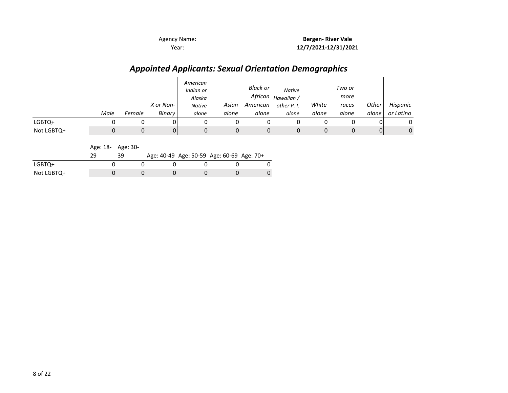### *Appointed Applicants: Sexual Orientation Demographics*

|            | Male | Female | X or Non-<br>Binary | American<br>Indian or<br>Alaska<br><b>Native</b><br>alone | Asian<br>alone | <b>Black or</b><br>African<br>American<br>alone | <b>Native</b><br>Hawaiian /<br>other P. I.<br>alone | White<br>alone | Two or<br>more<br>races<br>alone | Other<br>alone | Hispanic<br>or Latino |
|------------|------|--------|---------------------|-----------------------------------------------------------|----------------|-------------------------------------------------|-----------------------------------------------------|----------------|----------------------------------|----------------|-----------------------|
| LGBTQ+     |      |        |                     |                                                           |                |                                                 |                                                     |                |                                  |                | 0                     |
| Not LGBTQ+ |      | 0      | 0                   |                                                           |                |                                                 |                                                     |                |                                  | 01             | 0                     |

Age: 18- Age: 30-

| -29 | 39 | Age: 40-49 Age: 50-59 Age: 60-69 Age: 70+ |  |  |  |
|-----|----|-------------------------------------------|--|--|--|
|-----|----|-------------------------------------------|--|--|--|

| LGBTQ+     |  |  |  |
|------------|--|--|--|
| Not LGBTQ+ |  |  |  |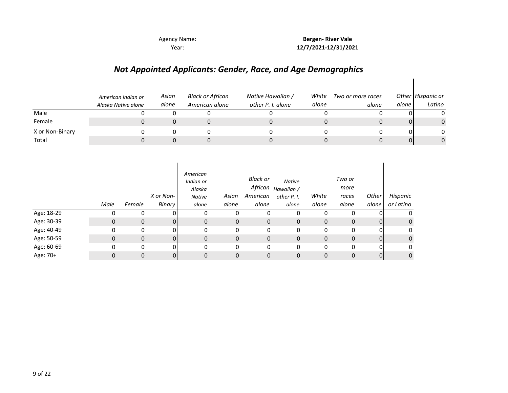**Bergen- River Vale 12/7/2021-12/31/2021**

 $\overline{\phantom{a}}$ 

### *Not Appointed Applicants: Gender, Race, and Age Demographics*

|                 | American Indian or<br>Alaska Native alone | Asian<br>alone | Black or African<br>American alone | Native Hawaiian /<br>other P. I. alone | White<br>alone | Two or more races<br>alone | alone    | Other Hispanic or<br>Latino |
|-----------------|-------------------------------------------|----------------|------------------------------------|----------------------------------------|----------------|----------------------------|----------|-----------------------------|
| Male            |                                           |                |                                    |                                        |                |                            |          |                             |
| Female          |                                           |                |                                    |                                        |                |                            | $\Omega$ | $\Omega$                    |
| X or Non-Binary |                                           |                |                                    |                                        |                |                            | ΩI       | 0                           |
| Total           |                                           |                |                                    |                                        |                |                            | 01       | 0                           |

|            | Male | Female       | X or Non-<br>Binary | American<br>Indian or<br>Alaska<br><b>Native</b><br>alone | Asian<br>alone | <b>Black or</b><br>African<br>American<br>alone | <b>Native</b><br>Hawaiian /<br>other P. I.<br>alone | White<br>alone | Two or<br>more<br>races<br>alone | Other<br>alone | Hispanic<br>or Latino |
|------------|------|--------------|---------------------|-----------------------------------------------------------|----------------|-------------------------------------------------|-----------------------------------------------------|----------------|----------------------------------|----------------|-----------------------|
| Age: 18-29 | 0    | 0            | ΩI                  | 0                                                         | 0              | 0                                               | 0                                                   | 0              | 0                                |                | 0                     |
| Age: 30-39 | 0    | $\mathbf 0$  | 01                  | 0                                                         | 0              | 0                                               | 0                                                   | $\mathbf{0}$   | $\mathbf 0$                      | $\overline{0}$ | 0                     |
| Age: 40-49 | 0    | 0            | 01                  | 0                                                         | 0              | 0                                               | 0                                                   | 0              | 0                                | 0              | 0                     |
| Age: 50-59 | 0    | $\mathbf 0$  | 01                  | 0                                                         | $\mathbf 0$    | 0                                               | $\mathbf{0}$                                        | $\mathbf{0}$   | 0                                | $\overline{0}$ | $\mathbf{0}$          |
| Age: 60-69 | 0    | $\mathbf{0}$ | οI                  | 0                                                         | 0              | 0                                               | 0                                                   | 0              | 0                                | 01             | 0                     |
| Age: 70+   | 0    | $\mathbf 0$  | 01                  | 0                                                         | 0              | 0                                               | 0                                                   | 0              | $\mathbf 0$                      | $\overline{0}$ | 0                     |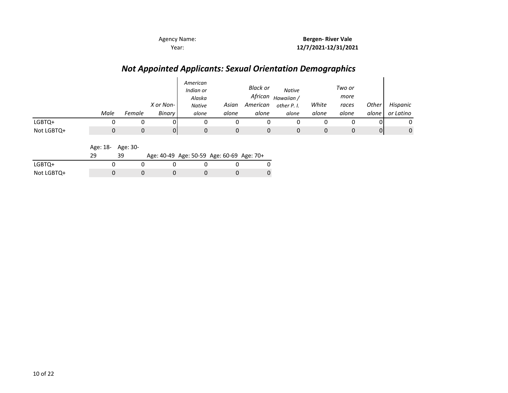### *Not Appointed Applicants: Sexual Orientation Demographics*

|            | Male | Female | X or Non-<br>Binary | American<br>Indian or<br>Alaska<br><b>Native</b><br>alone | Asian<br>alone | <b>Black or</b><br>African<br>American<br>alone | <b>Native</b><br>Hawaiian /<br>other P. I.<br>alone | White<br>alone | Two or<br>more<br>races<br>alone | Other<br>alone | Hispanic<br>or Latino |
|------------|------|--------|---------------------|-----------------------------------------------------------|----------------|-------------------------------------------------|-----------------------------------------------------|----------------|----------------------------------|----------------|-----------------------|
| LGBTQ+     |      |        |                     |                                                           |                |                                                 |                                                     |                |                                  |                | 0                     |
| Not LGBTQ+ |      | 0      | 0                   |                                                           |                |                                                 |                                                     |                |                                  | 01             | 0                     |

Age: 18- Age: 30-

29 39 Age: 40-49 Age: 50-59 Age: 60-69 Age: 70+

| LGBIQ+     |  |  |  |
|------------|--|--|--|
| Not LGBTQ+ |  |  |  |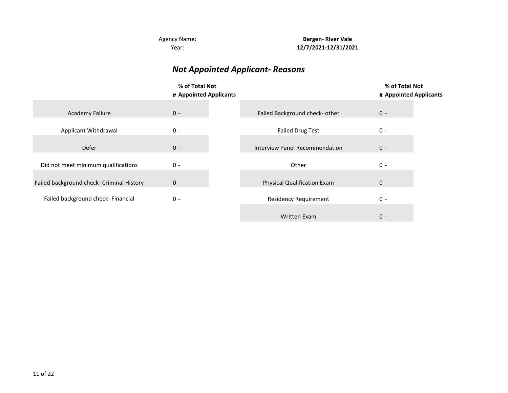**Bergen- River Vale 12/7/2021-12/31/2021**

### *Not Appointed Applicant- Reasons*

|                                           | % of Total Not<br># Appointed Applicants |                                    | % of Total Not<br># Appointed Applicants |
|-------------------------------------------|------------------------------------------|------------------------------------|------------------------------------------|
| <b>Academy Failure</b>                    | $0 -$                                    | Failed Background check- other     | $0 -$                                    |
| Applicant Withdrawal                      | $0 -$                                    | <b>Failed Drug Test</b>            | $0 -$                                    |
| Defer                                     | $0 -$                                    | Interview Panel Recommendation     | $0 -$                                    |
| Did not meet minimum qualifications       | $0 -$                                    | Other                              | $0 -$                                    |
| Failed background check- Criminal History | $0 -$                                    | <b>Physical Qualification Exam</b> | $0 -$                                    |
| Failed background check- Financial        | $0 -$                                    | <b>Residency Requirement</b>       | $0 -$                                    |
|                                           |                                          | <b>Written Exam</b>                | $0 -$                                    |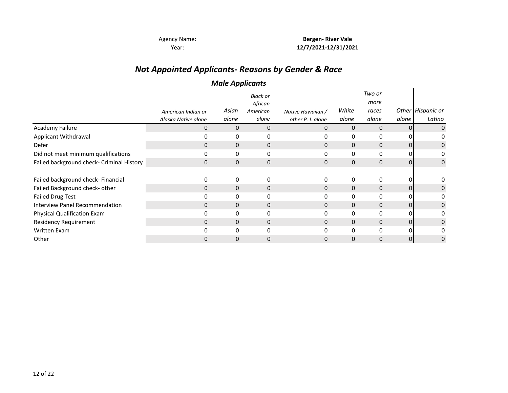### *Not Appointed Applicants- Reasons by Gender & Race*

#### *Male Applicants*

|                                           |                     | . .          |                            |                   |              |                |                |                   |
|-------------------------------------------|---------------------|--------------|----------------------------|-------------------|--------------|----------------|----------------|-------------------|
|                                           |                     |              | <b>Black or</b><br>African |                   |              | Two or<br>more |                |                   |
|                                           | American Indian or  | Asian        | American                   | Native Hawaiian / | White        | races          |                | Other Hispanic or |
|                                           | Alaska Native alone | alone        | alone                      | other P. I. alone | alone        | alone          | alone          | Latino            |
| Academy Failure                           | 0                   | $\mathbf{0}$ | $\mathbf 0$                | 0                 | $\mathbf{0}$ | $\mathbf 0$    | $\Omega$       | 0                 |
| Applicant Withdrawal                      | 0                   | 0            | 0                          | 0                 | 0            | 0              |                |                   |
| Defer                                     | $\mathbf{0}$        | $\mathbf{0}$ | 0                          | $\mathbf{0}$      | $\mathbf{0}$ | $\mathbf 0$    | 01             | 0                 |
| Did not meet minimum qualifications       | $\Omega$            | 0            | 0                          | 0                 | $\mathbf{0}$ | 0              | ΩI             |                   |
| Failed background check- Criminal History | $\mathbf{0}$        | $\mathbf{0}$ | 0                          | $\Omega$          | $\mathbf{0}$ | $\mathbf{0}$   | $\overline{0}$ | 0                 |
|                                           |                     |              |                            |                   |              |                |                |                   |
| Failed background check- Financial        | 0                   | 0            | 0                          |                   | 0            | 0              | 01             |                   |
| Failed Background check- other            | 0                   | $\mathbf{0}$ | 0                          | $\Omega$          | $\mathbf{0}$ | $\mathbf{0}$   | $\Omega$       | 0                 |
| <b>Failed Drug Test</b>                   | 0                   | 0            | 0                          |                   | 0            | 0              | 0              |                   |
| <b>Interview Panel Recommendation</b>     | 0                   | 0            | $\mathbf{0}$               | 0                 | $\Omega$     | $\mathbf{0}$   | 01             | 0                 |
| Physical Qualification Exam               | 0                   | 0            | 0                          |                   | 0            | 0              | <sup>n</sup>   | 0                 |
| <b>Residency Requirement</b>              | $\mathbf{0}$        | 0            | $\mathbf{0}$               | 0                 | $\Omega$     | $\mathbf{0}$   | 01             | 0                 |
| <b>Written Exam</b>                       | 0                   | 0            | 0                          |                   | $\Omega$     | 0              | U              |                   |
| Other                                     | 0                   | 0            | $\mathbf 0$                |                   | 0            | $\Omega$       | 01             | 0                 |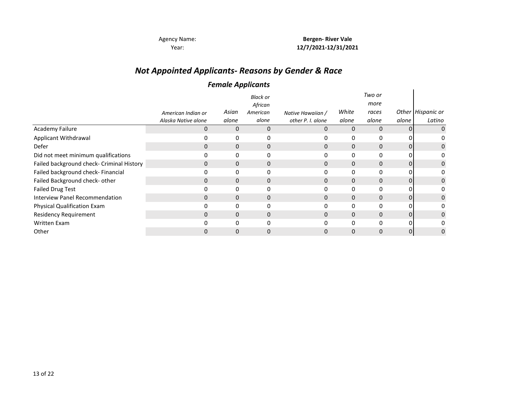Year:

Agency Name: **Bergen- River Vale 12/7/2021-12/31/2021**

### *Not Appointed Applicants- Reasons by Gender & Race*

#### *Female Applicants*

|                                           | American Indian or  | Asian       | <b>Black or</b><br>African<br>American | Native Hawaiian / | White        | Two or<br>more<br>races |       | Other Hispanic or |
|-------------------------------------------|---------------------|-------------|----------------------------------------|-------------------|--------------|-------------------------|-------|-------------------|
|                                           | Alaska Native alone | alone       | alone                                  | other P. I. alone | alone        | alone                   | alone | Latino            |
| Academy Failure                           | 0                   | 0           | 0                                      |                   | 0            | $\mathbf{0}$            | 0     | 0                 |
| Applicant Withdrawal                      | 0                   | 0           | 0                                      |                   | 0            | 0                       |       |                   |
| Defer                                     | 0                   | 0           | 0                                      | 0                 | $\mathbf{0}$ | $\mathbf 0$             | 01    | 0                 |
| Did not meet minimum qualifications       | 0                   | 0           | 0                                      |                   | 0            | 0                       | 01    |                   |
| Failed background check- Criminal History | 0                   | 0           | 0                                      | 0                 | $\Omega$     | $\mathbf{0}$            | 01    | 0                 |
| Failed background check- Financial        | 0                   | 0           | 0                                      |                   | 0            | 0                       | 0     |                   |
| Failed Background check- other            | $\Omega$            | 0           | 0                                      | 0                 | $\Omega$     | $\mathbf{0}$            | 01    | 0                 |
| <b>Failed Drug Test</b>                   | 0                   | 0           | 0                                      |                   | 0            | 0                       | 01    |                   |
| <b>Interview Panel Recommendation</b>     | $\Omega$            | $\mathbf 0$ | $\mathbf{0}$                           | 0                 | $\Omega$     | $\mathbf{0}$            | 01    | 0                 |
| <b>Physical Qualification Exam</b>        | 0                   | 0           | 0                                      |                   | $\Omega$     | $\Omega$                | ΩI    |                   |
| <b>Residency Requirement</b>              | $\Omega$            | 0           | $\mathbf 0$                            | 0                 | $\Omega$     | $\mathbf{0}$            | 0     | 0                 |
| <b>Written Exam</b>                       | O                   | 0           | 0                                      |                   | O            | $\Omega$                | ΩI    |                   |
| Other                                     |                     |             | 0                                      |                   |              | $\mathbf 0$             | 01    | 0                 |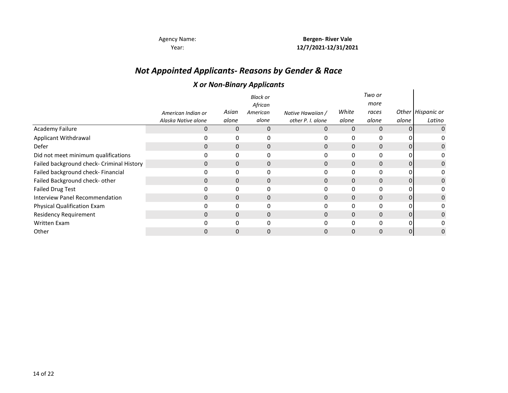### *Not Appointed Applicants- Reasons by Gender & Race*

#### *X or Non-Binary Applicants*

|                                           |                     |             | <b>Black or</b><br>African |                   | White    | Two or<br>more |       |                   |
|-------------------------------------------|---------------------|-------------|----------------------------|-------------------|----------|----------------|-------|-------------------|
|                                           | American Indian or  | Asian       | American                   | Native Hawaiian / |          | races          |       | Other Hispanic or |
|                                           | Alaska Native alone | alone       | alone                      | other P. I. alone | alone    | alone          | alone | Latino            |
| Academy Failure                           | $\Omega$            | $\Omega$    | 0                          |                   | $\Omega$ | $\mathbf{0}$   |       | 0                 |
| Applicant Withdrawal                      |                     | 0           | 0                          |                   | 0        | 0              |       |                   |
| Defer                                     | 0                   | 0           | 0                          | 0                 | $\Omega$ | $\mathbf{0}$   | 0     | 0                 |
| Did not meet minimum qualifications       | 0                   | 0           | 0                          |                   | 0        | 0              | 0     | 0                 |
| Failed background check- Criminal History | 0                   | 0           | 0                          | 0                 | 0        | $\mathbf{0}$   | 0     | 0                 |
| Failed background check- Financial        | 0                   | 0           | 0                          |                   | 0        | 0              | 0     | 0                 |
| Failed Background check- other            | $\Omega$            | 0           | 0                          |                   | 0        | $\mathbf{0}$   |       | 0                 |
| <b>Failed Drug Test</b>                   |                     | 0           | 0                          |                   | 0        | 0              |       | 0                 |
| <b>Interview Panel Recommendation</b>     | 0                   | $\mathbf 0$ | 0                          | 0                 | 0        | $\mathbf{0}$   | 0     | 0                 |
| Physical Qualification Exam               | 0                   | 0           | 0                          | 0                 | 0        | 0              | 0     | 0                 |
| <b>Residency Requirement</b>              | $\Omega$            | 0           | $\mathbf 0$                | 0                 | $\Omega$ | $\mathbf{0}$   | 0     | 0                 |
| <b>Written Exam</b>                       | ŋ                   |             | $\Omega$                   |                   | O        | $\Omega$       | 0     |                   |
| Other                                     |                     |             | 0                          |                   | 0        | $\Omega$       | 0     | 0                 |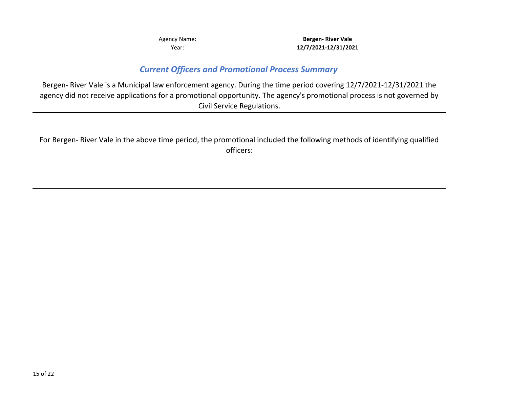#### *Current Officers and Promotional Process Summary*

Bergen- River Vale is a Municipal law enforcement agency. During the time period covering 12/7/2021-12/31/2021 the agency did not receive applications for a promotional opportunity. The agency's promotional process is not governed by Civil Service Regulations.

For Bergen- River Vale in the above time period, the promotional included the following methods of identifying qualified officers: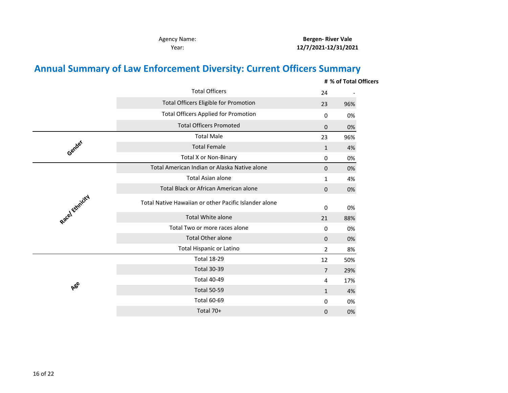**Bergen- River Vale 12/7/2021-12/31/2021**

## **Annual Summary of Law Enforcement Diversity: Current Officers Summary**

|                 |                                                       |                | # % of Total Officers |
|-----------------|-------------------------------------------------------|----------------|-----------------------|
|                 | <b>Total Officers</b>                                 | 24             |                       |
|                 | <b>Total Officers Eligible for Promotion</b>          | 23             | 96%                   |
|                 | <b>Total Officers Applied for Promotion</b>           | 0              | 0%                    |
|                 | <b>Total Officers Promoted</b>                        | 0              | 0%                    |
|                 | <b>Total Male</b>                                     | 23             | 96%                   |
| Gender          | <b>Total Female</b>                                   | $\mathbf{1}$   | 4%                    |
|                 | <b>Total X or Non-Binary</b>                          | 0              | 0%                    |
|                 | Total American Indian or Alaska Native alone          | 0              | 0%                    |
|                 | <b>Total Asian alone</b>                              | 1              | 4%                    |
|                 | Total Black or African American alone                 | 0              | 0%                    |
| Racel Ethnicity | Total Native Hawaiian or other Pacific Islander alone | 0              | 0%                    |
|                 | <b>Total White alone</b>                              | 21             | 88%                   |
|                 | Total Two or more races alone                         | 0              | 0%                    |
|                 | <b>Total Other alone</b>                              | 0              | 0%                    |
|                 | <b>Total Hispanic or Latino</b>                       | $\overline{2}$ | 8%                    |
|                 | <b>Total 18-29</b>                                    | 12             | 50%                   |
|                 | <b>Total 30-39</b>                                    | $\overline{7}$ | 29%                   |
|                 | <b>Total 40-49</b>                                    | 4              | 17%                   |
| <b>A</b> ee     | <b>Total 50-59</b>                                    | $\mathbf{1}$   | 4%                    |
|                 | <b>Total 60-69</b>                                    | 0              | 0%                    |
|                 | Total 70+                                             | 0              | 0%                    |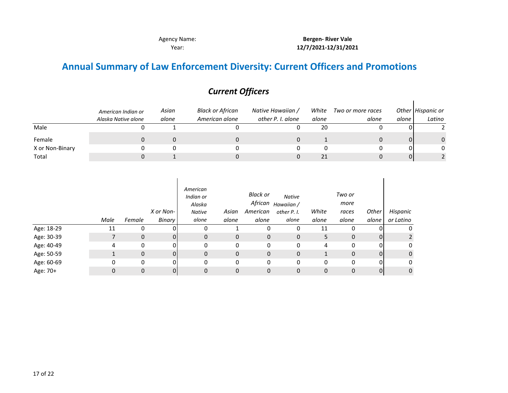$\mathbf{I}$ 

## **Annual Summary of Law Enforcement Diversity: Current Officers and Promotions**

|                 | American Indian or  | Asian<br>alone | Black or African<br>American alone | Native Hawaiian /<br>other P. I. alone | White<br>alone | Two or more races |       | Other Hispanic or<br>Latino |
|-----------------|---------------------|----------------|------------------------------------|----------------------------------------|----------------|-------------------|-------|-----------------------------|
|                 | Alaska Native alone |                |                                    |                                        |                | alone             | alone |                             |
| Male            |                     |                |                                    |                                        | 20             |                   |       |                             |
| Female          |                     |                |                                    |                                        |                |                   |       |                             |
| X or Non-Binary |                     |                |                                    |                                        |                |                   | ΟI    |                             |
| Total           |                     |                |                                    |                                        | 21             |                   | ΟI    |                             |

|            | Male | Female       | X or Non-<br><b>Binary</b> | American<br>Indian or<br>Alaska<br><b>Native</b><br>alone | Asian<br>alone | <b>Black or</b><br>African<br>American<br>alone | <b>Native</b><br>Hawaiian /<br>other P. I.<br>alone | White<br>alone | Two or<br>more<br>races<br>alone | Other<br>alone | Hispanic<br>or Latino |
|------------|------|--------------|----------------------------|-----------------------------------------------------------|----------------|-------------------------------------------------|-----------------------------------------------------|----------------|----------------------------------|----------------|-----------------------|
| Age: 18-29 | 11   | 0            | nı                         | 0                                                         |                | 0                                               | 0                                                   | 11             | 0                                |                | 0                     |
| Age: 30-39 |      | $\mathbf{0}$ | 01                         | 0                                                         | 0              | 0                                               | $\mathbf{0}$                                        | 5              | 0                                | 01             |                       |
| Age: 40-49 | 4    | $\Omega$     | ΩI                         | 0                                                         | 0              | 0                                               | 0                                                   | 4              | 0                                | 0              | 0                     |
| Age: 50-59 |      | $\mathbf{0}$ | 01                         | 0                                                         | $\mathbf 0$    | 0                                               | $\mathbf{0}$                                        |                | 0                                | $\Omega$       | 0                     |
| Age: 60-69 | 0    | 0            | Οl                         | 0                                                         | 0              | 0                                               | 0                                                   | 0              | 0                                | 0              | 0                     |
| Age: 70+   | 0    | $\mathbf{0}$ | Οl                         | 0                                                         | 0              | 0                                               | 0                                                   | 0              | 0                                | 0              | 0                     |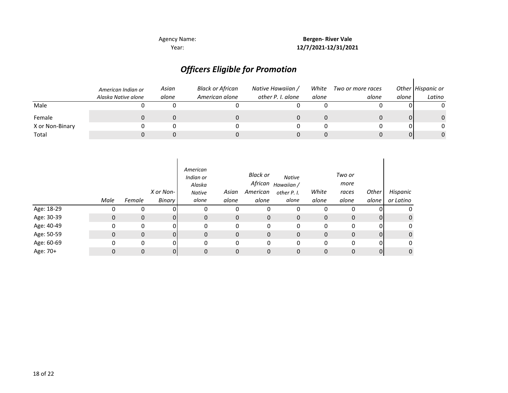## *Officers Eligible for Promotion*

|                 | American Indian or<br>Alaska Native alone | Asian<br>alone | Black or African<br>American alone | Native Hawaiian /<br>other P. I. alone | White<br>alone | Two or more races<br>alone | alone i | Other Hispanic or<br>Latino |
|-----------------|-------------------------------------------|----------------|------------------------------------|----------------------------------------|----------------|----------------------------|---------|-----------------------------|
| Male            |                                           |                |                                    |                                        |                |                            |         | 0                           |
| Female          |                                           |                |                                    |                                        |                |                            | 0       | $\Omega$                    |
| X or Non-Binary |                                           |                |                                    |                                        |                |                            |         | 0                           |
| Total           |                                           |                |                                    |                                        |                |                            | 01      | $\Omega$                    |

|            | Male | Female       | X or Non-<br>Binary | American<br>Indian or<br>Alaska<br><b>Native</b><br>alone | Asian<br>alone | <b>Black or</b><br>African<br>American<br>alone | <b>Native</b><br>Hawaiian /<br>other P. I.<br>alone | White<br>alone | Two or<br>more<br>races<br>alone | Other<br>alone | Hispanic<br>or Latino |
|------------|------|--------------|---------------------|-----------------------------------------------------------|----------------|-------------------------------------------------|-----------------------------------------------------|----------------|----------------------------------|----------------|-----------------------|
| Age: 18-29 | 0    | 0            |                     | 0                                                         | 0              | 0                                               | 0                                                   | 0              | 0                                |                | 0                     |
| Age: 30-39 | 0    | $\mathbf{0}$ | 01                  | $\mathbf{0}$                                              | 0              | $\mathbf 0$                                     | 0                                                   | $\mathbf 0$    | $\mathbf{0}$                     | $\overline{0}$ | 0                     |
| Age: 40-49 | 0    | 0            | ΩI                  | 0                                                         | 0              | 0                                               | 0                                                   | $\Omega$       | 0                                | 0              | 0                     |
| Age: 50-59 | 0    | $\mathbf{0}$ |                     | 0                                                         | $\mathbf{0}$   | 0                                               | 0                                                   | $\mathbf 0$    | 0                                | $\overline{0}$ | 0                     |
| Age: 60-69 | 0    | 0            | 01                  | 0                                                         | 0              | 0                                               | 0                                                   | 0              | 0                                | 0              | 0                     |
| Age: 70+   | 0    | 0            | 01                  | 0                                                         | 0              | 0                                               | 0                                                   | $\mathbf 0$    | 0                                | $\overline{0}$ | 0                     |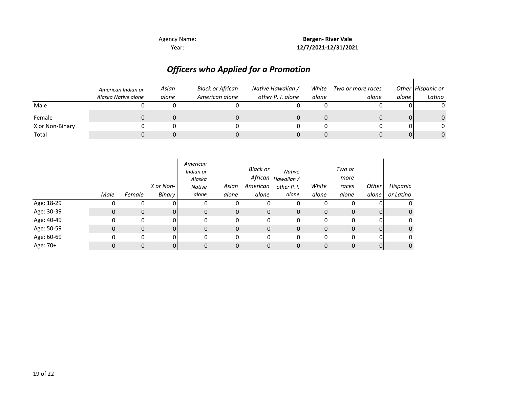### *Officers who Applied for a Promotion*

|                 | American Indian or<br>Alaska Native alone | Asian<br>alone | <b>Black or African</b><br>American alone | Native Hawaiian /<br>other P. I. alone | White<br>alone | Two or more races<br>alone | alone | Other Hispanic or<br>Latino |
|-----------------|-------------------------------------------|----------------|-------------------------------------------|----------------------------------------|----------------|----------------------------|-------|-----------------------------|
| Male            |                                           |                |                                           |                                        |                |                            |       | 0                           |
| Female          |                                           |                |                                           |                                        |                |                            | 0     | $\Omega$                    |
| X or Non-Binary |                                           |                |                                           |                                        |                |                            |       | 0                           |
| Total           |                                           |                |                                           |                                        |                |                            | 01    | $\Omega$                    |

|            | Male | Female      | X or Non-<br>Binary | American<br>Indian or<br>Alaska<br><b>Native</b><br>alone | Asian<br>alone | Black or<br>African<br>American<br>alone | <b>Native</b><br>Hawaiian /<br>other P. I.<br>alone | White<br>alone | Two or<br>more<br>races<br>alone | Other<br>alone | Hispanic<br>or Latino |
|------------|------|-------------|---------------------|-----------------------------------------------------------|----------------|------------------------------------------|-----------------------------------------------------|----------------|----------------------------------|----------------|-----------------------|
| Age: 18-29 |      | 0           |                     | 0                                                         | 0              | O                                        | 0                                                   |                |                                  |                | 0                     |
| Age: 30-39 | 0    | 0           | ΩI                  | $\mathbf{0}$                                              | 0              | 0                                        | 0                                                   | 0              | 0                                | $\overline{0}$ | 0                     |
| Age: 40-49 | 0    | 0           | nι                  | 0                                                         | 0              | 0                                        | 0                                                   | $\Omega$       | 0                                | 0              | 0                     |
| Age: 50-59 | 0    | $\mathbf 0$ | ΩI                  | $\mathbf{0}$                                              | 0              | $\mathbf 0$                              | 0                                                   | $\mathbf 0$    | $\mathbf{0}$                     | $\Omega$       | 0                     |
| Age: 60-69 | 0    | 0           | ΩI                  | 0                                                         | 0              | 0                                        | 0                                                   | $\Omega$       | 0                                | 0              | 0                     |
| Age: 70+   |      | 0           |                     | 0                                                         | 0              | 0                                        | 0                                                   | 0              | 0                                | $\overline{0}$ | 0                     |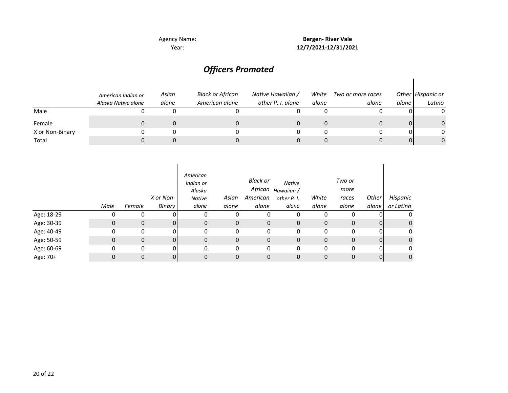Agency Name:

Year: **12/7/2021-12/31/2021 Bergen- River Vale**

### *Officers Promoted*

|                 | American Indian or<br>Alaska Native alone | Asian<br>alone | <b>Black or African</b><br>American alone | Native Hawaiian /<br>other P. I. alone | White<br>alone | Two or more races<br>alone | alone | Other Hispanic or<br>Latino |
|-----------------|-------------------------------------------|----------------|-------------------------------------------|----------------------------------------|----------------|----------------------------|-------|-----------------------------|
| Male            |                                           |                |                                           |                                        |                |                            | ΩI    | 0                           |
| Female          |                                           |                |                                           |                                        |                |                            | 01    | 0                           |
| X or Non-Binary |                                           |                |                                           |                                        |                |                            | 01    | 0                           |
| Total           |                                           |                |                                           |                                        |                |                            | 01    | $\Omega$                    |

|            | Male | Female       | X or Non-<br><b>Binary</b> | American<br>Indian or<br>Alaska<br><b>Native</b><br>alone | Asian<br>alone | <b>Black or</b><br>African<br>American<br>alone | <b>Native</b><br>Hawaiian /<br>other P. I.<br>alone | White<br>alone | Two or<br>more<br>races<br>alone | <b>Other</b><br>alone | Hispanic<br>or Latino |
|------------|------|--------------|----------------------------|-----------------------------------------------------------|----------------|-------------------------------------------------|-----------------------------------------------------|----------------|----------------------------------|-----------------------|-----------------------|
| Age: 18-29 | 0    | 0            | ΩI                         | 0                                                         | 0              | 0                                               | 0                                                   | 0              | 0                                | 0                     | 0                     |
| Age: 30-39 | 0    | $\mathbf 0$  | 01                         | 0                                                         | 0              | 0                                               | 0                                                   | 0              | 0                                | $\Omega$              | $\mathbf{0}$          |
| Age: 40-49 | 0    | 0            | ΩI                         | 0                                                         | 0              | 0                                               | 0                                                   | 0              | 0                                | $\Omega$              | 0                     |
| Age: 50-59 | 0    | $\mathbf{0}$ | 01                         | 0                                                         | 0              | $\mathbf 0$                                     | $\mathbf{0}$                                        | 0              | 0                                | ΩI                    | $\mathbf{0}$          |
| Age: 60-69 | 0    | 0            | 01                         | 0                                                         | 0              | 0                                               | 0                                                   | 0              | 0                                | ΩI                    | 0                     |
| Age: 70+   | 0    | $\mathbf{0}$ | 01                         | 0                                                         | $\mathbf{0}$   | 0                                               | 0                                                   | 0              | 0                                | 0                     | $\mathbf{0}$          |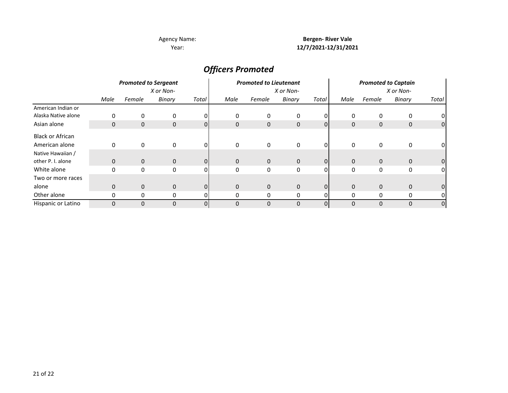#### **Bergen- River Vale 12/7/2021-12/31/2021**

### *Officers Promoted*

|                         | <b>Promoted to Sergeant</b><br>X or Non- |              |              |                |              | <b>Promoted to Lieutenant</b> |              |                |              | <b>Promoted to Captain</b> |              |       |  |  |
|-------------------------|------------------------------------------|--------------|--------------|----------------|--------------|-------------------------------|--------------|----------------|--------------|----------------------------|--------------|-------|--|--|
|                         |                                          |              |              |                | X or Non-    |                               |              |                | X or Non-    |                            |              |       |  |  |
|                         | Male                                     | Female       | Binary       | Total          | Male         | Female                        | Binary       | Total          | Male         | Female                     | Binary       | Total |  |  |
| American Indian or      |                                          |              |              |                |              |                               |              |                |              |                            |              |       |  |  |
| Alaska Native alone     | 0                                        | 0            | 0            |                | 0            | 0                             | 0            |                | 0            | 0                          | 0            |       |  |  |
| Asian alone             | $\mathbf 0$                              | $\mathbf 0$  | $\mathbf{0}$ | $\Omega$       | $\mathbf{0}$ | $\mathbf{0}$                  | $\mathbf{0}$ | $\Omega$       | $\mathbf{0}$ | $\mathbf 0$                | 0            | 0     |  |  |
| <b>Black or African</b> |                                          |              |              |                |              |                               |              |                |              |                            |              |       |  |  |
| American alone          | 0                                        | 0            | 0            | $\Omega$       | 0            | 0                             | 0            | $\Omega$       | 0            | 0                          | 0            |       |  |  |
| Native Hawaiian /       |                                          |              |              |                |              |                               |              |                |              |                            |              |       |  |  |
| other P. I. alone       | $\mathbf 0$                              | $\mathbf{0}$ | $\mathbf{0}$ | $\overline{0}$ | $\mathbf 0$  | $\mathbf{0}$                  | $\mathbf 0$  | $\Omega$       | $\mathbf{0}$ | $\mathbf 0$                | $\mathbf{0}$ |       |  |  |
| White alone             | 0                                        | 0            | 0            | $\Omega$       | 0            | 0                             | 0            | $\Omega$       | $\mathbf{0}$ | 0                          | 0            | 01    |  |  |
| Two or more races       |                                          |              |              |                |              |                               |              |                |              |                            |              |       |  |  |
| alone                   | $\mathbf 0$                              | $\mathbf{0}$ | $\mathbf{0}$ | $\Omega$       | $\mathbf{0}$ | $\mathbf{0}$                  | $\mathbf{0}$ | $\overline{0}$ | $\mathbf{0}$ | $\mathbf 0$                | $\mathbf{0}$ |       |  |  |
| Other alone             | 0                                        | 0            | 0            |                |              | 0                             | 0            |                | 0            | 0                          | 0            |       |  |  |
| Hispanic or Latino      | $\Omega$                                 | 0            | $\Omega$     | $\overline{0}$ | $\Omega$     | 0                             | $\Omega$     |                | $\Omega$     | $\Omega$                   | 0            | 0     |  |  |